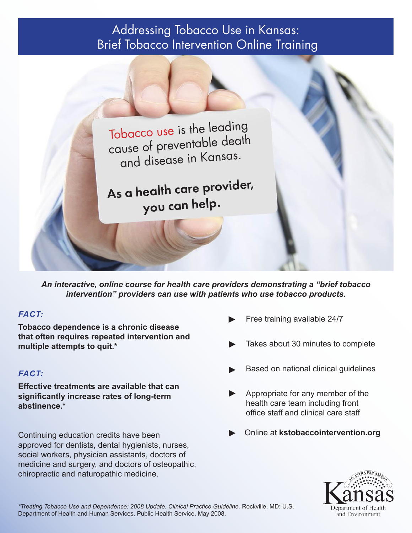# Addressing Tobacco Use in Kansas: Brief Tobacco Intervention Online Training



*An interactive, online course for health care providers demonstrating a "brief tobacco intervention" providers can use with patients who use tobacco products.*

## *FACT:*

**Tobacco dependence is a chronic disease that often requires repeated intervention and multiple attempts to quit.\*** 

## *FACT:*

**Effective treatments are available that can significantly increase rates of long-term abstinence.\***

Continuing education credits have been approved for dentists, dental hygienists, nurses, social workers, physician assistants, doctors of medicine and surgery, and doctors of osteopathic, chiropractic and naturopathic medicine.

- Free training available 24/7 ►
- Takes about 30 minutes to complete ►
- Based on national clinical guidelines ►
- Appropriate for any member of the health care team including front office staff and clinical care staff ►
- ► Online at **kstobaccointervention.org**



*\*Treating Tobacco Use and Dependence: 2008 Update. Clinical Practice Guideline.* Rockville, MD: U.S. Department of Health and Human Services. Public Health Service. May 2008.